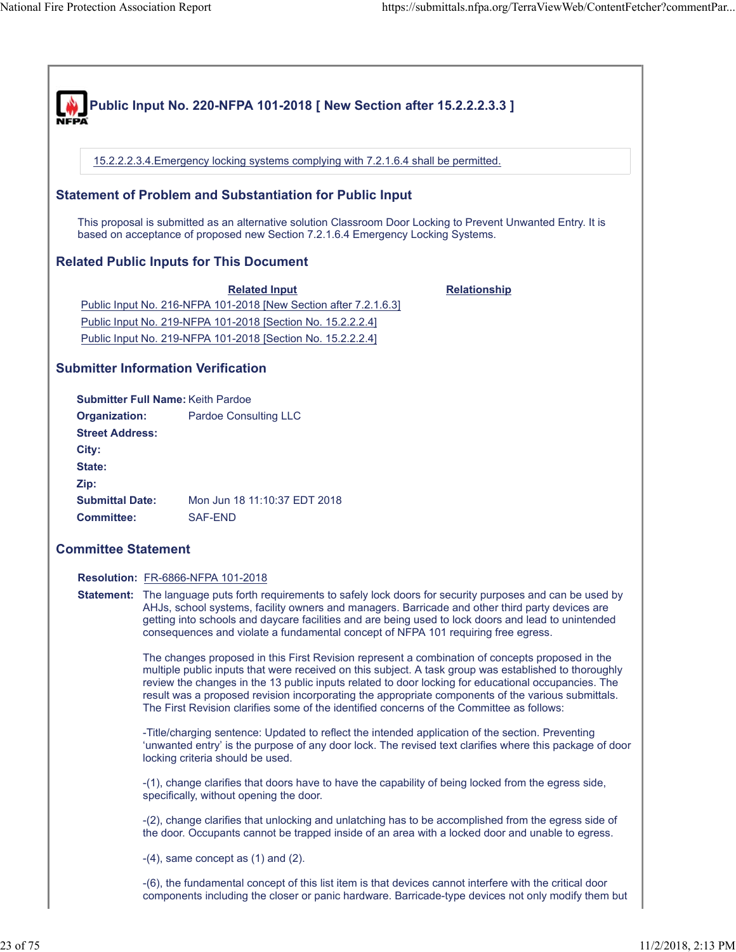| .<br>and assures<br>i consistent with i<br>reguir.<br>i federal accessibility<br>equirements<br>∍ment                       |
|-----------------------------------------------------------------------------------------------------------------------------|
| the dav.<br>and<br>its. anv<br>' conditions.<br>immediate<br><b>POTAS</b><br>under all<br>occupants<br>tor a<br>time:<br>0t |
|                                                                                                                             |